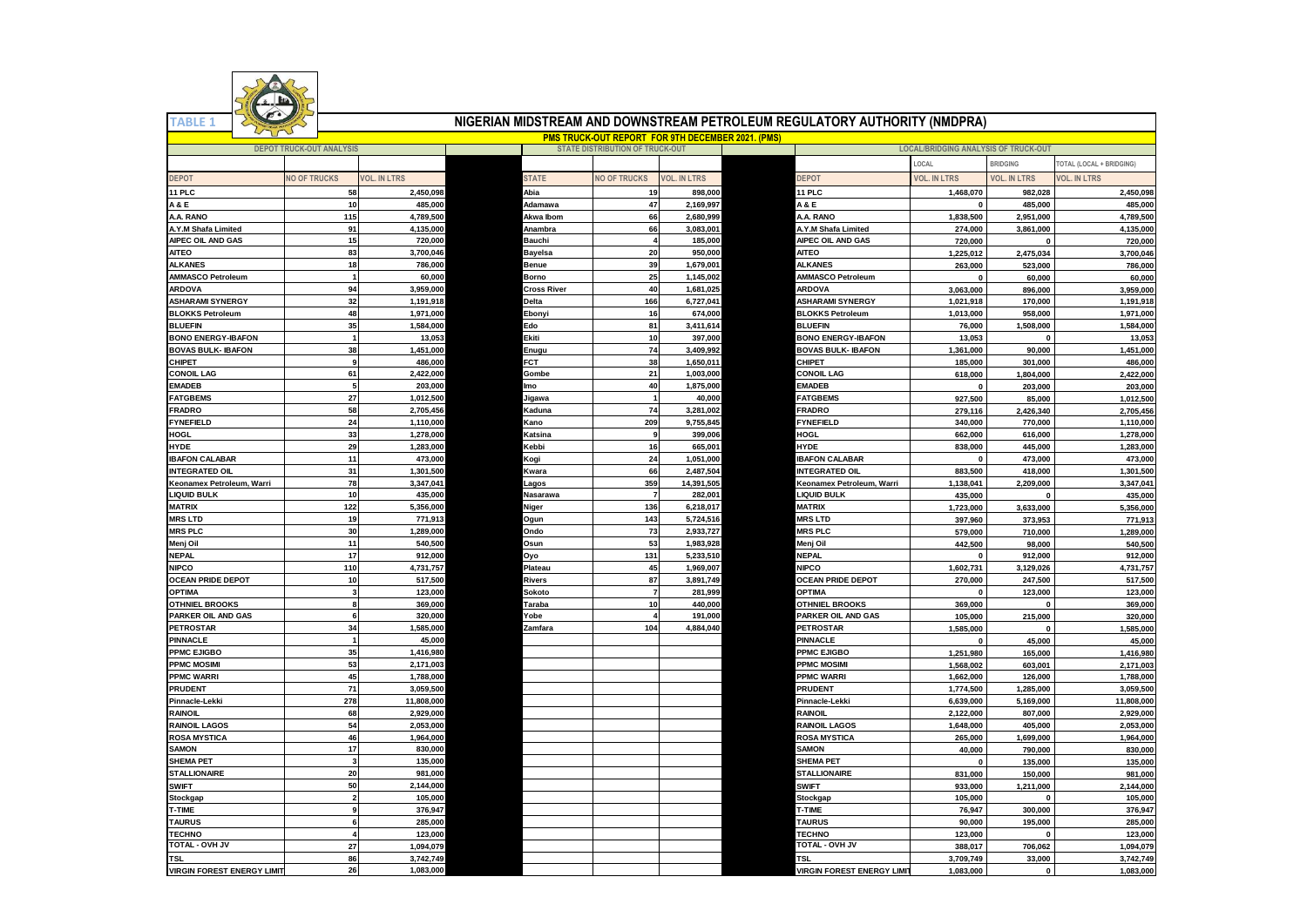

**TABLE 1**

## **NIGERIAN MIDSTREAM AND DOWNSTREAM PETROLEUM REGULATORY AUTHORITY (NMDPRA)**

| <b>PMS TRUCK-OUT REPORT FOR 9TH DECEMBER 2021. (PMS)</b> |                                 |                     |                |                                        |                        |                                                        |                                             |                     |                          |
|----------------------------------------------------------|---------------------------------|---------------------|----------------|----------------------------------------|------------------------|--------------------------------------------------------|---------------------------------------------|---------------------|--------------------------|
|                                                          | <b>DEPOT TRUCK-OUT ANALYSIS</b> |                     |                | <b>STATE DISTRIBUTION OF TRUCK-OUT</b> |                        |                                                        | <b>LOCAL/BRIDGING ANALYSIS OF TRUCK-OUT</b> |                     |                          |
|                                                          |                                 |                     |                |                                        |                        |                                                        | LOCAL                                       | <b>BRIDGING</b>     | TOTAL (LOCAL + BRIDGING) |
| DEPOT                                                    | <b>VO OF TRUCKS</b>             | <b>/OL. IN LTRS</b> | <b>STATE</b>   | <b>NO OF TRUCKS</b>                    | <b>VOL. IN LTRS</b>    | <b>DEPOT</b>                                           | <b>VOL. IN LTRS</b>                         | <b>VOL. IN LTRS</b> | <b>/OL. IN LTRS</b>      |
| 11 PLC                                                   | 58                              | 2,450,098           | Abia           | 19                                     | 898,000                | 11 PLC                                                 | 1,468,070                                   | 982,028             | 2.450.098                |
| <b>A&amp;E</b>                                           | 10                              | 485,000             | Adamawa        | 47                                     | 2,169,997              | <b>A&amp;E</b>                                         | $\mathbf{0}$                                | 485,000             | 485,000                  |
| A.A. RANO                                                | 115                             | 4,789,500           | Akwa Ibom      | 66                                     | 2,680,999              | A.A. RANO                                              | 1,838,500                                   | 2,951,000           | 4,789,500                |
| A.Y.M Shafa Limited                                      | 91                              | 4,135,000           | Anambra        | 66                                     | 3,083,001              | <b>A.Y.M Shafa Limited</b>                             | 274.000                                     | 3,861,000           | 4,135,000                |
| AIPEC OIL AND GAS                                        | 15                              | 720,000             | Bauchi         |                                        | 185,000                | AIPEC OIL AND GAS                                      | 720,000                                     | $\Omega$            | 720,000                  |
| <b>AITEO</b>                                             | 83                              | 3,700,046           | <b>Bayelsa</b> | 20                                     | 950,000                | <b>AITEO</b>                                           | 1,225,012                                   | 2,475,034           | 3,700,046                |
| <b>ALKANES</b>                                           | 18                              | 786,000             | Benue          | 39                                     | 1,679,001              | <b>ALKANES</b>                                         | 263,000                                     | 523,000             | 786,000                  |
| AMMASCO Petroleum                                        | $\mathbf{1}$                    | 60,000              | <b>Borno</b>   | 25                                     | 1,145,002              | AMMASCO Petroleum                                      | $\mathbf{0}$                                | 60,000              | 60,000                   |
| <b>ARDOVA</b>                                            | 94                              | 3,959,000           | Cross River    | 40                                     | 1,681,025              | <b>ARDOVA</b>                                          | 3,063,000                                   | 896,000             | 3,959,000                |
| <b>ASHARAMI SYNERGY</b>                                  | 32                              | 1,191,918           | Delta          | 166                                    | 6,727,041              | <b>ASHARAMI SYNERGY</b>                                | 1,021,918                                   | 170,000             | 1,191,918                |
| <b>BLOKKS Petroleum</b>                                  | 48                              | 1,971,000           | Ebonvi         | 16                                     | 674,000                | <b>BLOKKS Petroleum</b>                                | 1,013,000                                   | 958,000             | 1,971,000                |
| <b>BLUEFIN</b>                                           | 35                              | 1,584,000           | Edo            | 81                                     | 3,411,614              | <b>BLUEFIN</b>                                         | 76,000                                      | 1,508,000           | 1,584,000                |
|                                                          | $\overline{1}$                  |                     | Ekiti          | 10                                     |                        |                                                        |                                             |                     | 13,053                   |
| <b>BONO ENERGY-IBAFON</b><br><b>BOVAS BULK- IBAFON</b>   |                                 | 13,053<br>1,451,000 |                | 74                                     | 397,000                | <b>BONO ENERGY-IBAFON</b><br><b>3OVAS BULK- IBAFON</b> | 13,053                                      |                     |                          |
| CHIPET                                                   | 38<br>9                         | 486,000             | Enugu<br>FCT   | 38                                     | 3,409,992<br>1,650,011 | CHIPET                                                 | 1,361,000<br>185,000                        | 90,000              | 1,451,000                |
|                                                          |                                 |                     |                |                                        |                        |                                                        |                                             | 301,000             | 486,000                  |
| <b>CONOIL LAG</b>                                        | 61                              | 2,422,000           | Gombe          | 21                                     | 1,003,000              | CONOIL LAG                                             | 618,000                                     | 1,804,000           | 2,422,000                |
| <b>EMADEB</b>                                            | 5                               | 203,000             | <b>Imo</b>     | 40                                     | 1,875,000              | <b>EMADEB</b>                                          | $\mathbf{0}$                                | 203,000             | 203,000                  |
| <b>FATGBEMS</b>                                          | 27                              | 1,012,500           | Jigawa         |                                        | 40.000                 | <b>ATGBEMS</b>                                         | 927.500                                     | 85,000              | 1,012,500                |
| <b>FRADRO</b>                                            | 58                              | 2,705,456           | Kaduna         | 74                                     | 3,281,002              | <b>FRADRO</b>                                          | 279,116                                     | 2,426,340           | 2,705,456                |
| FYNEFIELD                                                | 24                              | 1,110,000           | <b>Kano</b>    | 209                                    | 9,755,845              | <b>YNEFIELD</b>                                        | 340,000                                     | 770,000             | 1,110,000                |
| HOGL                                                     | 33                              | 1,278,000           | Katsina        | 9                                      | 399,006                | HOGL                                                   | 662,000                                     | 616,000             | 1,278,000                |
| HYDE                                                     | 29                              | 1,283,000           | Kebbi          | 16                                     | 665,001                | HYDE                                                   | 838,000                                     | 445,000             | 1,283,000                |
| <b>BAFON CALABAR</b>                                     | 11                              | 473,000             | Kogi           | 24                                     | 1,051,000              | <b>BAFON CALABAR</b>                                   | $\pmb{0}$                                   | 473,000             | 473,000                  |
| <b>INTEGRATED OIL</b>                                    | 31                              | 1,301,500           | Kwara          | 66                                     | 2,487,504              | <b>INTEGRATED OIL</b>                                  | 883,500                                     | 418,000             | 1,301,500                |
| Keonamex Petroleum, Warri                                | 78                              | 3,347,041           | .agos          | 359                                    | 14,391,505             | <b>Keonamex Petroleum, Warri</b>                       | 1,138,041                                   | 2,209,000           | 3,347,041                |
| LIQUID BULK                                              | 10                              | 435,000             | Nasarawa       | $\overline{7}$                         | 282,001                | <b>LIQUID BULK</b>                                     | 435,000                                     | $\Omega$            | 435,000                  |
| <b>MATRIX</b>                                            | 122                             | 5,356,000           | Niger          | 136                                    | 6,218,017              | <b>MATRIX</b>                                          | 1,723,000                                   | 3,633,000           | 5,356,000                |
| <b>MRS LTD</b>                                           | 19                              | 771,913             | Ogun           | 143                                    | 5,724,516              | <b>MRSLTD</b>                                          | 397,960                                     | 373,953             | 771,913                  |
| <b>MRS PLC</b>                                           | 30                              | 1,289,000           | Ondo           | 73                                     | 2,933,727              | <b>MRS PLC</b>                                         | 579,000                                     | 710,000             | 1,289,000                |
| Menj Oil                                                 | 11                              | 540,500             | Osun           | 53                                     | 1,983,928              | Menj Oil                                               | 442,500                                     | 98,000              | 540,500                  |
| <b>NEPAL</b>                                             | 17                              | 912,000             | Oyo            | 131                                    | 5,233,510              | <b>NEPAL</b>                                           | $\mathbf{0}$                                | 912,000             | 912,000                  |
| <b>NIPCO</b>                                             | 110                             | 4,731,757           | Plateau        | 45                                     | 1,969,007              | <b>NIPCO</b>                                           | 1,602,731                                   | 3,129,026           | 4,731,757                |
| <b>OCEAN PRIDE DEPOT</b>                                 | 10                              | 517,500             | Rivers         | 87                                     | 3,891,749              | <b>OCEAN PRIDE DEPOT</b>                               | 270,000                                     | 247,500             | 517,500                  |
| <b>OPTIMA</b>                                            | $\overline{\mathbf{3}}$         | 123,000             | Sokoto         | $\overline{7}$                         | 281,999                | <b>OPTIMA</b>                                          | $\mathbf{0}$                                | 123,000             | 123,000                  |
| <b>OTHNIEL BROOKS</b>                                    | 8                               | 369,000             | Taraba         | 10                                     | 440,000                | <b>OTHNIEL BROOKS</b>                                  | 369,000                                     | $\mathbf{0}$        | 369,000                  |
| PARKER OIL AND GAS                                       | 6                               | 320,000             | Yobe           |                                        | 191,000                | PARKER OIL AND GAS                                     | 105,000                                     | 215,000             | 320,000                  |
| PETROSTAR                                                | 34                              | 1,585,000           | Zamfara        | 104                                    | 4,884,040              | <b>PETROSTAR</b>                                       | 1,585,000                                   | $\Omega$            | 1,585,000                |
| PINNACLE                                                 | $\vert$ 1                       | 45,000              |                |                                        |                        | PINNACLE                                               | $\Omega$                                    | 45,000              | 45,000                   |
| PPMC EJIGBO                                              | 35                              | 1,416,980           |                |                                        |                        | PPMC EJIGBO                                            | 1,251,980                                   | 165,000             | 1,416,980                |
| <b>PPMC MOSIMI</b>                                       | 53                              | 2,171,003           |                |                                        |                        | PPMC MOSIMI                                            | 1,568,002                                   | 603,001             | 2,171,003                |
| <b>PPMC WARRI</b>                                        | 45                              | 1.788.000           |                |                                        |                        | <b>PMC WARRI</b>                                       | 1.662.000                                   | 126,000             | 1,788,000                |
| <b>PRUDENT</b>                                           | 71                              | 3,059,500           |                |                                        |                        | <b>PRUDENT</b>                                         | 1,774,500                                   | 1,285,000           | 3,059,500                |
| Pinnacle-Lekki                                           | 278                             | 11,808,000          |                |                                        |                        | Pinnacle-Lekki                                         | 6,639,000                                   | 5,169,000           | 11,808,000               |
| RAINOIL                                                  | 68                              | 2,929,000           |                |                                        |                        | <b>RAINOIL</b>                                         | 2,122,000                                   | 807,000             | 2,929,000                |
| RAINOIL LAGOS                                            | 54                              | 2,053,000           |                |                                        |                        | <b>RAINOIL LAGOS</b>                                   | 1,648,000                                   | 405,000             | 2,053,000                |
| <b>ROSA MYSTICA</b>                                      | 46                              | 1,964,000           |                |                                        |                        | <b>ROSA MYSTICA</b>                                    | 265,000                                     | 1,699,000           | 1,964,000                |
| <b>SAMON</b>                                             | 17                              | 830,000             |                |                                        |                        | <b>SAMON</b>                                           | 40,000                                      | 790,000             | 830,000                  |
| <b>SHEMA PET</b>                                         | $\mathbf{3}$                    | 135,000             |                |                                        |                        | <b>SHEMA PET</b>                                       | $\mathbf 0$                                 | 135,000             | 135,000                  |
| <b>STALLIONAIRE</b>                                      | 20                              | 981,000             |                |                                        |                        | <b>STALLIONAIRE</b>                                    | 831,000                                     | 150,000             | 981,000                  |
| <b>SWIFT</b>                                             | 50                              | 2,144,000           |                |                                        |                        | SWIFT                                                  | 933,000                                     | 1,211,000           | 2,144,000                |
| Stockgap                                                 | $\overline{2}$                  | 105,000             |                |                                        |                        | Stockgap                                               | 105,000                                     | $\mathbf{0}$        | 105,000                  |
| <b>T-TIME</b>                                            | 9                               | 376,947             |                |                                        |                        | <b>F-TIME</b>                                          | 76,947                                      | 300,000             | 376,947                  |
| <b>TAURUS</b>                                            | 6                               | 285,000             |                |                                        |                        | <b>TAURUS</b>                                          | 90,000                                      | 195,000             | 285,000                  |
| <b>TECHNO</b>                                            | $\overline{\mathbf{4}}$         | 123,000             |                |                                        |                        | <b>TECHNO</b>                                          |                                             | $\mathbf{0}$        | 123,000                  |
| TOTAL - OVH JV                                           | 27                              | 1,094,079           |                |                                        |                        | <b>TOTAL - OVH JV</b>                                  | 123,000<br>388,017                          |                     |                          |
|                                                          | 86                              |                     |                |                                        |                        | <b>TSL</b>                                             |                                             | 706,062             | 1,094,079                |
| <b>TSL</b>                                               |                                 | 3,742,749           |                |                                        |                        |                                                        | 3.709.749                                   | 33.000              | 3,742,749                |
| <b>VIRGIN FOREST ENERGY LIMIT</b>                        | 26                              | 1,083,000           |                |                                        |                        | <b>/IRGIN FOREST ENERGY LIMIT</b>                      | 1,083,000                                   | 0                   | 1,083,000                |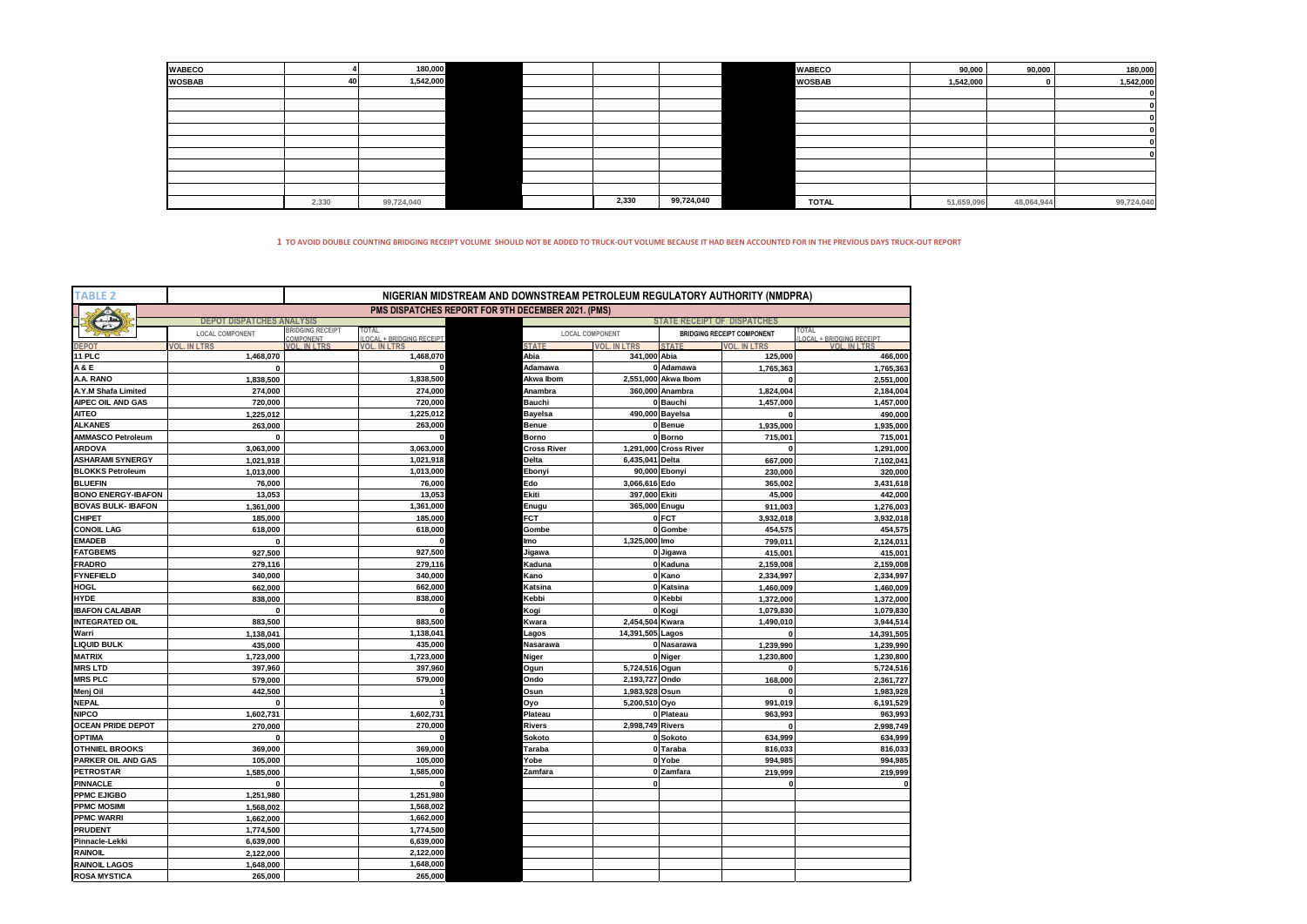| <b>WABECO</b> |       | 180,000    |  |       |            | <b>WABECO</b> | 90,000     | 90,000     | 180,000    |
|---------------|-------|------------|--|-------|------------|---------------|------------|------------|------------|
| <b>WOSBAB</b> | 41    | 1,542,000  |  |       |            | <b>WOSBAB</b> | 1,542,000  |            | 1,542,000  |
|               |       |            |  |       |            |               |            |            |            |
|               |       |            |  |       |            |               |            |            |            |
|               |       |            |  |       |            |               |            |            |            |
|               |       |            |  |       |            |               |            |            |            |
|               |       |            |  |       |            |               |            |            |            |
|               |       |            |  |       |            |               |            |            |            |
|               |       |            |  |       |            |               |            |            |            |
|               |       |            |  |       |            |               |            |            |            |
|               |       |            |  |       |            |               |            |            |            |
|               | 2,330 | 99,724,040 |  | 2,330 | 99,724,040 | <b>TOTAL</b>  | 51,659,096 | 48,064,944 | 99,724,040 |

**1 TO AVOID DOUBLE COUNTING BRIDGING RECEIPT VOLUME SHOULD NOT BE ADDED TO TRUCK-OUT VOLUME BECAUSE IT HAD BEEN ACCOUNTED FOR IN THE PREVIOUS DAYS TRUCK-OUT REPORT**

| <b>TABLE 2</b>            | NIGERIAN MIDSTREAM AND DOWNSTREAM PETROLEUM REGULATORY AUTHORITY (NMDPRA) |                                      |                                          |                                                           |                        |                                    |                                   |                                   |  |  |
|---------------------------|---------------------------------------------------------------------------|--------------------------------------|------------------------------------------|-----------------------------------------------------------|------------------------|------------------------------------|-----------------------------------|-----------------------------------|--|--|
|                           |                                                                           |                                      |                                          | <b>PMS DISPATCHES REPORT FOR 9TH DECEMBER 2021. (PMS)</b> |                        |                                    |                                   |                                   |  |  |
|                           | <b>DEPOT DISPATCHES ANALYSIS</b>                                          |                                      |                                          |                                                           |                        | <b>STATE RECEIPT OF DISPATCHES</b> |                                   |                                   |  |  |
|                           | <b>LOCAL COMPONENT</b>                                                    | <b>BRIDGING RECEIPT</b><br>COMPONENT | TOTAL<br><b>LOCAL + BRIDGING RECEIPT</b> |                                                           | <b>LOCAL COMPONENT</b> |                                    | <b>BRIDGING RECEIPT COMPONENT</b> | TOTAL<br>LOCAL + BRIDGING RECEIPT |  |  |
| DEPO <sub>1</sub>         | <b>VOL. IN LTRS</b>                                                       | VOL IN LTRS                          | <b>VOL. IN LTRS</b>                      | <b>STATE</b>                                              | <b>VOL. IN LTRS</b>    | <b>STATE</b>                       | <b>VOL. IN LTRS</b>               | <b>VOL IN LTRS</b>                |  |  |
| <b>11 PLC</b>             | 1,468,070                                                                 |                                      | 1,468,070                                | Abia                                                      | 341,000 Abia           |                                    | 125,000                           | 466,000                           |  |  |
| A & E                     | $\mathbf 0$                                                               |                                      | $\Omega$                                 | Adamawa                                                   |                        | 0 Adamawa                          | 1.765.363                         | 1,765,363                         |  |  |
| A.A. RANO                 | 1,838,500                                                                 |                                      | 1,838,500                                | Akwa Ibom                                                 |                        | 2,551,000 Akwa Ibom                |                                   | 2,551,000                         |  |  |
| A.Y.M Shafa Limited       | 274,000                                                                   |                                      | 274,000                                  | Anambra                                                   |                        | 360,000 Anambra                    | 1,824,004                         | 2,184,004                         |  |  |
| AIPEC OIL AND GAS         | 720,000                                                                   |                                      | 720,000                                  | <b>Bauchi</b>                                             |                        | 0 Bauchi                           | 1,457,000                         | 1,457,000                         |  |  |
| <b>AITEO</b>              | 1,225,012                                                                 |                                      | 1,225,012                                | <b>Bayelsa</b>                                            |                        | 490,000 Bayelsa                    |                                   | 490,000                           |  |  |
| <b>ALKANES</b>            | 263,000                                                                   |                                      | 263,000                                  | Benue                                                     |                        | 0 Benue                            | 1,935,000                         | 1,935,000                         |  |  |
| <b>AMMASCO Petroleum</b>  | $\Omega$                                                                  |                                      | $\Omega$                                 | Borno                                                     |                        | 0 Borno                            | 715,001                           | 715,001                           |  |  |
| <b>ARDOVA</b>             | 3,063,000                                                                 |                                      | 3,063,000                                | <b>Cross River</b>                                        |                        | 1,291,000 Cross River              |                                   | 1,291,000                         |  |  |
| <b>ASHARAMI SYNERGY</b>   | 1,021,918                                                                 |                                      | 1,021,918                                | Delta                                                     | 6,435,041 Delta        |                                    | 667,000                           | 7,102,041                         |  |  |
| <b>BLOKKS Petroleum</b>   | 1,013,000                                                                 |                                      | 1,013,000                                | Ebonyi                                                    |                        | 90,000 Ebonyi                      | 230,000                           | 320,000                           |  |  |
| <b>BLUEFIN</b>            | 76,000                                                                    |                                      | 76,000                                   | Edo                                                       | 3,066,616 Edo          |                                    | 365,002                           | 3,431,618                         |  |  |
| <b>BONO ENERGY-IBAFON</b> | 13,053                                                                    |                                      | 13,053                                   | Ekiti                                                     | 397,000 Ekiti          |                                    | 45,000                            | 442,000                           |  |  |
| <b>BOVAS BULK- IBAFON</b> | 1,361,000                                                                 |                                      | 1,361,000                                | Enugu                                                     | 365,000 Enugu          |                                    | 911,003                           | 1,276,003                         |  |  |
| <b>CHIPET</b>             | 185,000                                                                   |                                      | 185,000                                  | FCT                                                       |                        | 0 FCT                              | 3,932,018                         | 3,932,018                         |  |  |
| <b>CONOIL LAG</b>         | 618,000                                                                   |                                      | 618,000                                  | Gombe                                                     |                        | 0 Gombe                            | 454,575                           | 454,575                           |  |  |
| <b>EMADEB</b>             | $\mathbf{0}$                                                              |                                      | $\Omega$                                 | lmo                                                       | 1,325,000 Imo          |                                    | 799,011                           | 2,124,011                         |  |  |
| <b>FATGBEMS</b>           | 927.500                                                                   |                                      | 927,500                                  | Jigawa                                                    |                        | 0 Jigawa                           | 415.001                           | 415,001                           |  |  |
| <b>FRADRO</b>             | 279,116                                                                   |                                      | 279,116                                  | Kaduna                                                    |                        | 0 Kaduna                           | 2,159,008                         | 2,159,008                         |  |  |
| <b>FYNEFIELD</b>          | 340,000                                                                   |                                      | 340,000                                  | Kano                                                      |                        | 0 Kano                             | 2,334,997                         | 2,334,997                         |  |  |
| HOGL                      | 662,000                                                                   |                                      | 662,000                                  | Katsina                                                   |                        | 0 Katsina                          | 1,460,009                         | 1,460,009                         |  |  |
| <b>HYDE</b>               | 838.000                                                                   |                                      | 838.000                                  | Kebbi                                                     |                        | 0 Kebbi                            | 1,372,000                         | 1,372,000                         |  |  |
| <b>IBAFON CALABAR</b>     | $\mathbf{0}$                                                              |                                      | $\Omega$                                 | Kogi                                                      |                        | 0 Kogi                             | 1,079,830                         | 1,079,830                         |  |  |
| <b>INTEGRATED OIL</b>     | 883.500                                                                   |                                      | 883,500                                  | Kwara                                                     | 2,454,504 Kwara        |                                    | 1,490,010                         | 3,944,514                         |  |  |
| Warri                     | 1,138,041                                                                 |                                      | 1,138,041                                | Lagos                                                     | 14,391,505 Lagos       |                                    |                                   | 14,391,505                        |  |  |
| <b>LIQUID BULK</b>        | 435,000                                                                   |                                      | 435,000                                  | Nasarawa                                                  |                        | 0 Nasarawa                         | 1,239,990                         | 1,239,990                         |  |  |
| <b>MATRIX</b>             | 1,723,000                                                                 |                                      | 1,723,000                                | Niger                                                     |                        | 0 Niger                            | 1,230,800                         | 1,230,800                         |  |  |
| <b>MRS LTD</b>            | 397,960                                                                   |                                      | 397,960                                  | Ogun                                                      | 5,724,516 Ogun         |                                    |                                   | 5,724,516                         |  |  |
| <b>MRS PLC</b>            | 579,000                                                                   |                                      | 579,000                                  | Ondo                                                      | 2,193,727 Ondo         |                                    | 168,000                           | 2,361,727                         |  |  |
| Menj Oil                  | 442,500                                                                   |                                      |                                          | Osun                                                      | 1,983,928 Osun         |                                    |                                   | 1,983,928                         |  |  |
| <b>NEPAL</b>              | $\mathbf{0}$                                                              |                                      | $\mathbf 0$                              | Oyo                                                       | 5,200,510 Oyo          |                                    | 991,019                           | 6,191,529                         |  |  |
| <b>NIPCO</b>              | 1,602,731                                                                 |                                      | 1,602,731                                | Plateau                                                   |                        | 0 Plateau                          | 963,993                           | 963,993                           |  |  |
| <b>OCEAN PRIDE DEPOT</b>  | 270,000                                                                   |                                      | 270,000                                  | Rivers                                                    | 2,998,749 Rivers       |                                    |                                   | 2,998,749                         |  |  |
| <b>OPTIMA</b>             | $\mathbf 0$                                                               |                                      | $\mathbf 0$                              | Sokoto                                                    |                        | 0 Sokoto                           | 634,999                           | 634,999                           |  |  |
| <b>OTHNIEL BROOKS</b>     | 369.000                                                                   |                                      | 369,000                                  | Taraba                                                    |                        | 0 Taraba                           | 816,033                           | 816,033                           |  |  |
| PARKER OIL AND GAS        | 105,000                                                                   |                                      | 105,000                                  | Yobe                                                      |                        | 0 Yobe                             | 994,985                           | 994,985                           |  |  |
| <b>PETROSTAR</b>          | 1.585.000                                                                 |                                      | 1,585,000                                | Zamfara                                                   |                        | 0 Zamfara                          | 219,999                           | 219,999                           |  |  |
| <b>PINNACLE</b>           | $\mathbf{0}$                                                              |                                      | $\Omega$                                 |                                                           |                        |                                    |                                   | 0                                 |  |  |
| <b>PPMC EJIGBO</b>        | 1,251,980                                                                 |                                      | 1,251,980                                |                                                           |                        |                                    |                                   |                                   |  |  |
| <b>PPMC MOSIMI</b>        | 1,568,002                                                                 |                                      | 1,568,002                                |                                                           |                        |                                    |                                   |                                   |  |  |
| <b>PPMC WARRI</b>         | 1,662,000                                                                 |                                      | 1,662,000                                |                                                           |                        |                                    |                                   |                                   |  |  |
| <b>PRUDENT</b>            | 1,774,500                                                                 |                                      | 1,774,500                                |                                                           |                        |                                    |                                   |                                   |  |  |
| Pinnacle-Lekki            | 6,639,000                                                                 |                                      | 6,639,000                                |                                                           |                        |                                    |                                   |                                   |  |  |
| <b>RAINOIL</b>            | 2,122,000                                                                 |                                      | 2,122,000                                |                                                           |                        |                                    |                                   |                                   |  |  |
| <b>RAINOIL LAGOS</b>      | 1,648,000                                                                 |                                      | 1,648,000                                |                                                           |                        |                                    |                                   |                                   |  |  |
| <b>ROSA MYSTICA</b>       | 265,000                                                                   |                                      | 265,000                                  |                                                           |                        |                                    |                                   |                                   |  |  |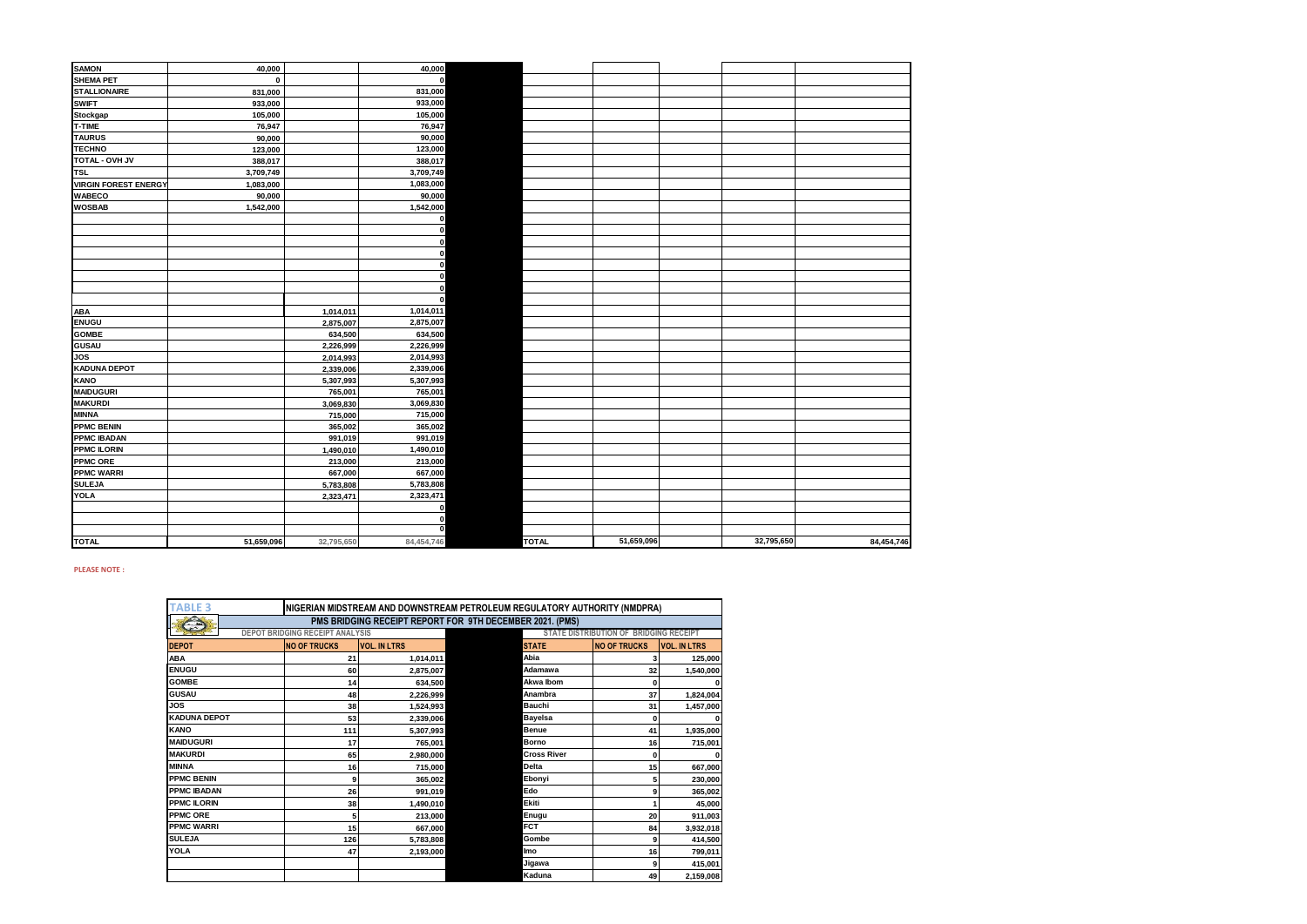| <b>SAMON</b>                | 40,000      |            | 40,000       |              |            |            |            |
|-----------------------------|-------------|------------|--------------|--------------|------------|------------|------------|
| <b>SHEMA PET</b>            | $\mathbf 0$ |            | $\Omega$     |              |            |            |            |
| <b>STALLIONAIRE</b>         | 831,000     |            | 831,000      |              |            |            |            |
| <b>SWIFT</b>                | 933,000     |            | 933,000      |              |            |            |            |
| Stockgap                    | 105,000     |            | 105,000      |              |            |            |            |
| T-TIME                      | 76,947      |            | 76,947       |              |            |            |            |
| <b>TAURUS</b>               | 90,000      |            | 90,000       |              |            |            |            |
| <b>TECHNO</b>               | 123,000     |            | 123,000      |              |            |            |            |
| TOTAL - OVH JV              | 388,017     |            | 388,017      |              |            |            |            |
| <b>TSL</b>                  | 3,709,749   |            | 3,709,749    |              |            |            |            |
| <b>VIRGIN FOREST ENERGY</b> | 1,083,000   |            | 1,083,000    |              |            |            |            |
| <b>WABECO</b>               | 90,000      |            | 90,000       |              |            |            |            |
| <b>WOSBAB</b>               | 1,542,000   |            | 1,542,000    |              |            |            |            |
|                             |             |            |              |              |            |            |            |
|                             |             |            | O            |              |            |            |            |
|                             |             |            |              |              |            |            |            |
|                             |             |            |              |              |            |            |            |
|                             |             |            |              |              |            |            |            |
|                             |             |            |              |              |            |            |            |
|                             |             |            |              |              |            |            |            |
|                             |             |            | O            |              |            |            |            |
| <b>ABA</b>                  |             | 1,014,011  | 1,014,011    |              |            |            |            |
| <b>ENUGU</b>                |             | 2,875,007  | 2,875,007    |              |            |            |            |
| <b>GOMBE</b>                |             | 634,500    | 634,500      |              |            |            |            |
| <b>GUSAU</b>                |             | 2,226,999  | 2,226,999    |              |            |            |            |
| <b>JOS</b>                  |             | 2,014,993  | 2,014,993    |              |            |            |            |
| <b>KADUNA DEPOT</b>         |             | 2,339,006  | 2,339,006    |              |            |            |            |
| <b>KANO</b>                 |             | 5,307,993  | 5,307,993    |              |            |            |            |
| <b>MAIDUGURI</b>            |             | 765,001    | 765,001      |              |            |            |            |
| <b>MAKURDI</b>              |             | 3,069,830  | 3,069,830    |              |            |            |            |
| <b>MINNA</b>                |             | 715,000    | 715,000      |              |            |            |            |
| <b>PPMC BENIN</b>           |             | 365,002    | 365,002      |              |            |            |            |
| <b>PPMC IBADAN</b>          |             | 991,019    | 991,019      |              |            |            |            |
| <b>PPMC ILORIN</b>          |             | 1,490,010  | 1,490,010    |              |            |            |            |
| <b>PPMC ORE</b>             |             | 213,000    | 213,000      |              |            |            |            |
| <b>PPMC WARRI</b>           |             | 667,000    | 667,000      |              |            |            |            |
| <b>SULEJA</b>               |             | 5,783,808  | 5,783,808    |              |            |            |            |
| <b>YOLA</b>                 |             | 2,323,471  | 2,323,471    |              |            |            |            |
|                             |             |            | O            |              |            |            |            |
|                             |             |            |              |              |            |            |            |
|                             |             |            | <sup>0</sup> |              |            |            |            |
| <b>TOTAL</b>                | 51,659,096  | 32,795,650 | 84,454,746   | <b>TOTAL</b> | 51,659,096 | 32,795,650 | 84,454,746 |

## **PLEASE NOTE :**

| <b>TABLE 3</b><br>NIGERIAN MIDSTREAM AND DOWNSTREAM PETROLEUM REGULATORY AUTHORITY (NMDPRA) |                                                                           |                     |                                        |                     |                     |  |  |  |  |
|---------------------------------------------------------------------------------------------|---------------------------------------------------------------------------|---------------------|----------------------------------------|---------------------|---------------------|--|--|--|--|
|                                                                                             | PMS BRIDGING RECEIPT REPORT FOR 9TH DECEMBER 2021. (PMS)<br>$\Rightarrow$ |                     |                                        |                     |                     |  |  |  |  |
|                                                                                             | <b>DEPOT BRIDGING RECEIPT ANALYSIS</b>                                    |                     | STATE DISTRIBUTION OF BRIDGING RECEIPT |                     |                     |  |  |  |  |
| <b>DEPOT</b>                                                                                | <b>NO OF TRUCKS</b>                                                       | <b>VOL. IN LTRS</b> | <b>STATE</b>                           | <b>NO OF TRUCKS</b> | <b>VOL. IN LTRS</b> |  |  |  |  |
| <b>ABA</b>                                                                                  | 21                                                                        | 1,014,011           | Abia                                   |                     | 125,000             |  |  |  |  |
| <b>ENUGU</b>                                                                                | 60                                                                        | 2,875,007           | Adamawa                                | 32                  | 1.540.000           |  |  |  |  |
| <b>GOMBE</b>                                                                                | 14                                                                        | 634.500             | Akwa Ibom                              | 0                   |                     |  |  |  |  |
| <b>GUSAU</b>                                                                                | 48                                                                        | 2.226.999           | Anambra                                | 37                  | 1,824,004           |  |  |  |  |
| <b>JOS</b>                                                                                  | 38                                                                        | 1.524.993           | Bauchi                                 | 31                  | 1,457,000           |  |  |  |  |
| <b>KADUNA DEPOT</b>                                                                         | 53                                                                        | 2,339,006           | <b>Bavelsa</b>                         | 0                   |                     |  |  |  |  |
| <b>KANO</b>                                                                                 | 111                                                                       | 5,307,993           | <b>Benue</b>                           | 41                  | 1,935,000           |  |  |  |  |
| <b>MAIDUGURI</b>                                                                            | 17                                                                        | 765.001             | <b>Borno</b>                           | 16                  | 715,001             |  |  |  |  |
| <b>MAKURDI</b>                                                                              | 65                                                                        | 2.980.000           | <b>Cross River</b>                     | 0                   |                     |  |  |  |  |
| <b>MINNA</b>                                                                                | 16                                                                        | 715.000             | Delta                                  | 15                  | 667,000             |  |  |  |  |
| <b>PPMC BENIN</b>                                                                           | g                                                                         | 365.002             | Ebonyi                                 |                     | 230,000             |  |  |  |  |
| <b>PPMC IBADAN</b>                                                                          | 26                                                                        | 991,019             | Edo                                    |                     | 365,002             |  |  |  |  |
| <b>PPMC ILORIN</b>                                                                          | 38                                                                        | 1,490,010           | Ekiti                                  |                     | 45,000              |  |  |  |  |
| <b>PPMC ORE</b>                                                                             | 5                                                                         | 213,000             | Enugu                                  | 20                  | 911,003             |  |  |  |  |
| <b>PPMC WARRI</b>                                                                           | 15                                                                        | 667.000             | <b>FCT</b>                             | 84                  | 3,932,018           |  |  |  |  |
| <b>SULEJA</b>                                                                               | 126                                                                       | 5,783,808           | Gombe                                  | q                   | 414,500             |  |  |  |  |
| <b>YOLA</b>                                                                                 | 47                                                                        | 2.193.000           | Imo                                    | 16                  | 799.011             |  |  |  |  |
|                                                                                             |                                                                           |                     | Jigawa                                 |                     | 415,001             |  |  |  |  |
|                                                                                             |                                                                           |                     | Kaduna                                 | 49                  | 2,159,008           |  |  |  |  |